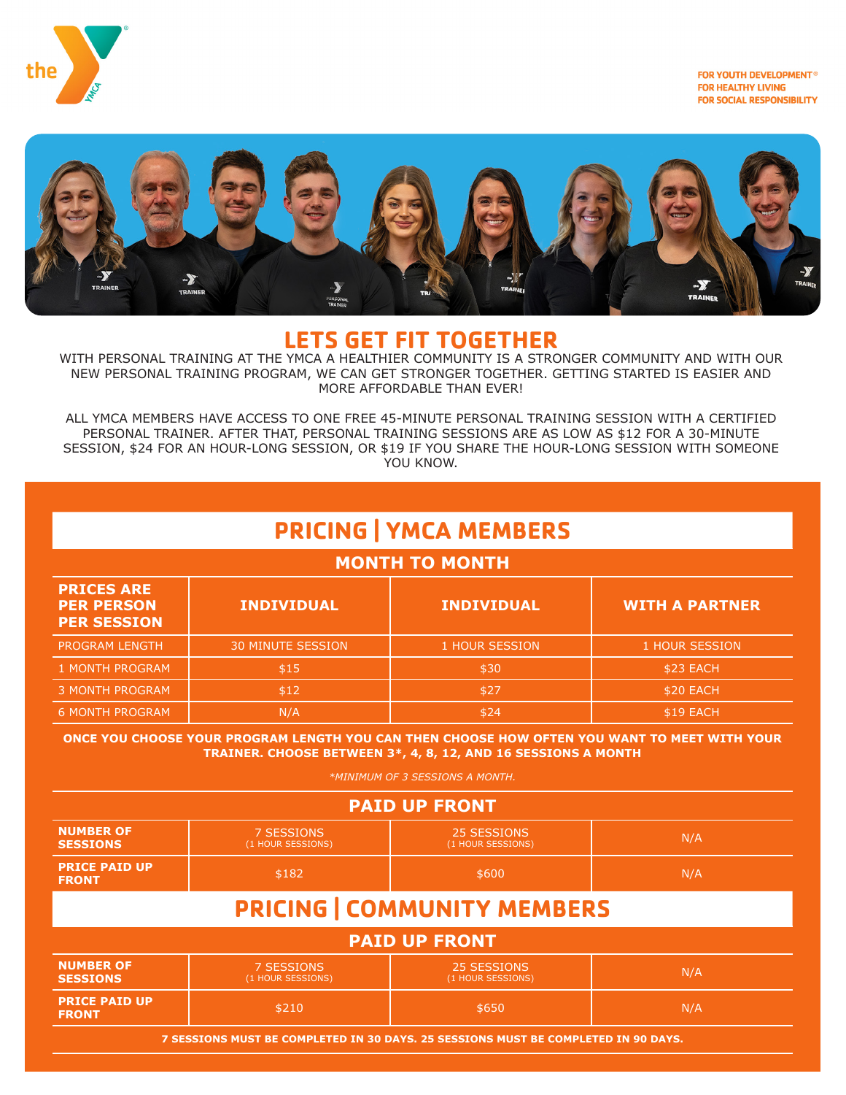

FOR YOUTH DEVELOPMENT® **FOR HEALTHY LIVING FOR SOCIAL RESPONSIBILITY** 



### **LETS GET FIT TOGETHER**

WITH PERSONAL TRAINING AT THE YMCA A HEALTHIER COMMUNITY IS A STRONGER COMMUNITY AND WITH OUR NEW PERSONAL TRAINING PROGRAM, WE CAN GET STRONGER TOGETHER. GETTING STARTED IS EASIER AND MORE AFFORDABLE THAN EVER!

ALL YMCA MEMBERS HAVE ACCESS TO ONE FREE 45-MINUTE PERSONAL TRAINING SESSION WITH A CERTIFIED PERSONAL TRAINER. AFTER THAT, PERSONAL TRAINING SESSIONS ARE AS LOW AS \$12 FOR A 30-MINUTE SESSION, \$24 FOR AN HOUR-LONG SESSION, OR \$19 IF YOU SHARE THE HOUR-LONG SESSION WITH SOMEONE YOU KNOW.

# **PRICING | YMCA MEMBERS**

#### **MONTH TO MONTH**

| <b>PRICES ARE</b><br><b>PER PERSON</b><br><b>PER SESSION</b> | <b>INDIVIDUAL</b>        | <b>INDIVIDUAL</b> | <b>WITH A PARTNER</b> |
|--------------------------------------------------------------|--------------------------|-------------------|-----------------------|
| <b>PROGRAM LENGTH</b>                                        | <b>30 MINUTE SESSION</b> | 1 HOUR SESSION    | 1 HOUR SESSION        |
| 1 MONTH PROGRAM                                              | \$15                     | \$30              | \$23 EACH             |
| <b>3 MONTH PROGRAM</b>                                       | \$12                     | \$27              | \$20 EACH             |
| <b>6 MONTH PROGRAM</b>                                       | N/A                      | \$24              | \$19 EACH             |

#### **ONCE YOU CHOOSE YOUR PROGRAM LENGTH YOU CAN THEN CHOOSE HOW OFTEN YOU WANT TO MEET WITH YOUR TRAINER. CHOOSE BETWEEN 3\*, 4, 8, 12, AND 16 SESSIONS A MONTH**

*\*MINIMUM OF 3 SESSIONS A MONTH.*

| <b>PAID UP FRONT</b>                 |                                 |                                  |     |  |  |  |
|--------------------------------------|---------------------------------|----------------------------------|-----|--|--|--|
| <b>NUMBER OF</b><br><b>SESSIONS</b>  | 7 SESSIONS<br>(1 HOUR SESSIONS) | 25 SESSIONS<br>(1 HOUR SESSIONS) | N/A |  |  |  |
| <b>PRICE PAID UP</b><br><b>FRONT</b> | \$182                           | \$600                            | N/A |  |  |  |
| <b>PRICING   COMMUNITY MEMBERS</b>   |                                 |                                  |     |  |  |  |
| <b>PAID UP FRONT</b>                 |                                 |                                  |     |  |  |  |

| <b>NUMBER OF</b>                     | 7 SESSIONS        | 25 SESSIONS       | N/A |
|--------------------------------------|-------------------|-------------------|-----|
| <b>SESSIONS</b>                      | (1 HOUR SESSIONS) | (1 HOUR SESSIONS) |     |
| <b>PRICE PAID UP</b><br><b>FRONT</b> | \$210             | \$650             | N/A |

**7 SESSIONS MUST BE COMPLETED IN 30 DAYS. 25 SESSIONS MUST BE COMPLETED IN 90 DAYS.**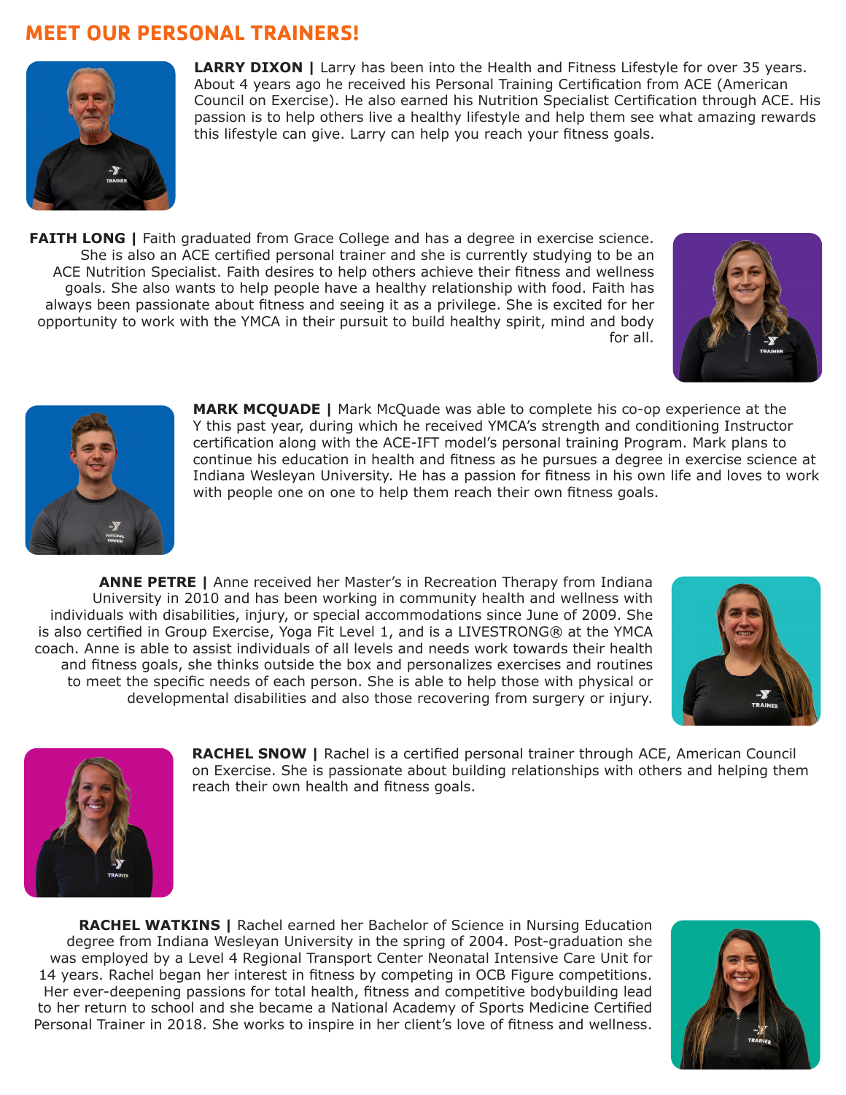## **MEET OUR PERSONAL TRAINERS!**



**LARRY DIXON |** Larry has been into the Health and Fitness Lifestyle for over 35 years. About 4 years ago he received his Personal Training Certification from ACE (American Council on Exercise). He also earned his Nutrition Specialist Certification through ACE. His passion is to help others live a healthy lifestyle and help them see what amazing rewards this lifestyle can give. Larry can help you reach your fitness goals.

**FAITH LONG** | Faith graduated from Grace College and has a degree in exercise science. She is also an ACE certified personal trainer and she is currently studying to be an ACE Nutrition Specialist. Faith desires to help others achieve their fitness and wellness goals. She also wants to help people have a healthy relationship with food. Faith has always been passionate about fitness and seeing it as a privilege. She is excited for her opportunity to work with the YMCA in their pursuit to build healthy spirit, mind and body for all.





**MARK MCQUADE |** Mark McQuade was able to complete his co-op experience at the Y this past year, during which he received YMCA's strength and conditioning Instructor certification along with the ACE-IFT model's personal training Program. Mark plans to continue his education in health and fitness as he pursues a degree in exercise science at Indiana Wesleyan University. He has a passion for fitness in his own life and loves to work with people one on one to help them reach their own fitness goals.

**ANNE PETRE |** Anne received her Master's in Recreation Therapy from Indiana University in 2010 and has been working in community health and wellness with individuals with disabilities, injury, or special accommodations since June of 2009. She is also certified in Group Exercise, Yoga Fit Level 1, and is a LIVESTRONG® at the YMCA coach. Anne is able to assist individuals of all levels and needs work towards their health and fitness goals, she thinks outside the box and personalizes exercises and routines to meet the specific needs of each person. She is able to help those with physical or developmental disabilities and also those recovering from surgery or injury.





**RACHEL SNOW |** Rachel is a certified personal trainer through ACE, American Council on Exercise. She is passionate about building relationships with others and helping them reach their own health and fitness goals.

**RACHEL WATKINS |** Rachel earned her Bachelor of Science in Nursing Education degree from Indiana Wesleyan University in the spring of 2004. Post-graduation she was employed by a Level 4 Regional Transport Center Neonatal Intensive Care Unit for 14 years. Rachel began her interest in fitness by competing in OCB Figure competitions. Her ever-deepening passions for total health, fitness and competitive bodybuilding lead to her return to school and she became a National Academy of Sports Medicine Certified Personal Trainer in 2018. She works to inspire in her client's love of fitness and wellness.